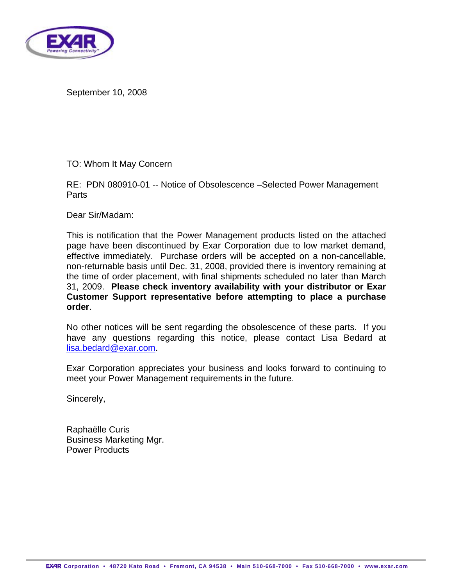

September 10, 2008

TO: Whom It May Concern

RE: PDN 080910-01 -- Notice of Obsolescence –Selected Power Management Parts

Dear Sir/Madam:

This is notification that the Power Management products listed on the attached page have been discontinued by Exar Corporation due to low market demand, effective immediately. Purchase orders will be accepted on a non-cancellable, non-returnable basis until Dec. 31, 2008, provided there is inventory remaining at the time of order placement, with final shipments scheduled no later than March 31, 2009. **Please check inventory availability with your distributor or Exar Customer Support representative before attempting to place a purchase order**.

No other notices will be sent regarding the obsolescence of these parts. If you have any questions regarding this notice, please contact Lisa Bedard at [lisa.bedard@exar.com](mailto:lisa.bedard@exar.com).

Exar Corporation appreciates your business and looks forward to continuing to meet your Power Management requirements in the future.

Sincerely,

Raphaëlle Curis Business Marketing Mgr. Power Products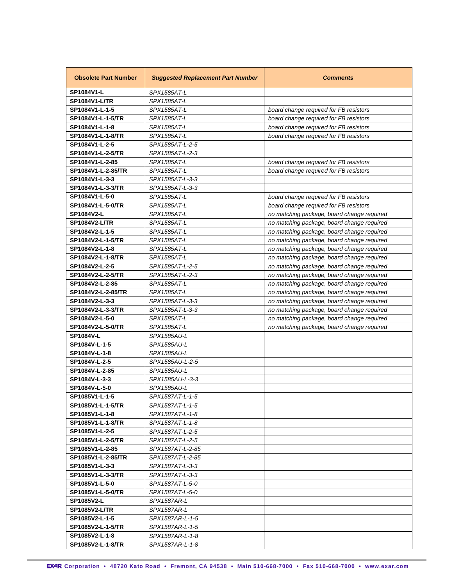| <b>Obsolete Part Number</b> | <b>Suggested Replacement Part Number</b> | <b>Comments</b>                            |
|-----------------------------|------------------------------------------|--------------------------------------------|
| SP1084V1-L                  | SPX1585AT-L                              |                                            |
| <b>SP1084V1-L/TR</b>        | SPX1585AT-L                              |                                            |
| SP1084V1-L-1-5              | SPX1585AT-L                              | board change required for FB resistors     |
| SP1084V1-L-1-5/TR           | SPX1585AT-L                              | board change required for FB resistors     |
| SP1084V1-L-1-8              | SPX1585AT-L                              | board change required for FB resistors     |
| SP1084V1-L-1-8/TR           | SPX1585AT-L                              | board change required for FB resistors     |
| SP1084V1-L-2-5              | SPX1585AT-L-2-5                          |                                            |
| SP1084V1-L-2-5/TR           | SPX1585AT-L-2-3                          |                                            |
| SP1084V1-L-2-85             | SPX1585AT-L                              | board change required for FB resistors     |
| SP1084V1-L-2-85/TR          | SPX1585AT-L                              | board change required for FB resistors     |
| SP1084V1-L-3-3              | SPX1585AT-L-3-3                          |                                            |
| SP1084V1-L-3-3/TR           | SPX1585AT-L-3-3                          |                                            |
| SP1084V1-L-5-0              | SPX1585AT-L                              | board change required for FB resistors     |
| SP1084V1-L-5-0/TR           | SPX1585AT-L                              | board change required for FB resistors     |
| SP1084V2-L                  | SPX1585AT-L                              | no matching package, board change required |
| <b>SP1084V2-L/TR</b>        | SPX1585AT-L                              | no matching package, board change required |
| SP1084V2-L-1-5              | SPX1585AT-L                              | no matching package, board change required |
| SP1084V2-L-1-5/TR           | SPX1585AT-L                              | no matching package, board change required |
| SP1084V2-L-1-8              | SPX1585AT-L                              | no matching package, board change required |
| SP1084V2-L-1-8/TR           | SPX1585AT-L                              | no matching package, board change required |
| SP1084V2-L-2-5              | SPX1585AT-L-2-5                          | no matching package, board change required |
| SP1084V2-L-2-5/TR           | SPX1585AT-L-2-3                          | no matching package, board change required |
| SP1084V2-L-2-85             | SPX1585AT-L                              | no matching package, board change required |
| SP1084V2-L-2-85/TR          | SPX1585AT-L                              | no matching package, board change required |
| SP1084V2-L-3-3              | SPX1585AT-L-3-3                          | no matching package, board change required |
| SP1084V2-L-3-3/TR           | SPX1585AT-L-3-3                          | no matching package, board change required |
| SP1084V2-L-5-0              | SPX1585AT-L                              | no matching package, board change required |
| SP1084V2-L-5-0/TR           | SPX1585AT-L                              | no matching package, board change required |
| <b>SP1084V-L</b>            | SPX1585AU-L                              |                                            |
| SP1084V-L-1-5               | SPX1585AU-L                              |                                            |
| SP1084V-L-1-8               | SPX1585AU-L                              |                                            |
| SP1084V-L-2-5               | SPX1585AU-L-2-5                          |                                            |
| SP1084V-L-2-85              | SPX1585AU-L                              |                                            |
| SP1084V-L-3-3               | SPX1585AU-L-3-3                          |                                            |
| SP1084V-L-5-0               | SPX1585AU-L                              |                                            |
| SP1085V1-L-1-5              | SPX1587AT-L-1-5                          |                                            |
| SP1085V1-L-1-5/TR           | SPX1587AT-L-1-5                          |                                            |
| SP1085V1-L-1-8              | SPX1587AT-L-1-8                          |                                            |
| SP1085V1-L-1-8/TR           | SPX1587AT-L-1-8                          |                                            |
| SP1085V1-L-2-5              | SPX1587AT-L-2-5                          |                                            |
| SP1085V1-L-2-5/TR           | SPX1587AT-L-2-5                          |                                            |
| SP1085V1-L-2-85             | SPX1587AT-L-2-85                         |                                            |
| SP1085V1-L-2-85/TR          | SPX1587AT-L-2-85                         |                                            |
| SP1085V1-L-3-3              | SPX1587AT-L-3-3                          |                                            |
| SP1085V1-L-3-3/TR           | SPX1587AT-L-3-3                          |                                            |
| SP1085V1-L-5-0              | SPX1587AT-L-5-0                          |                                            |
| SP1085V1-L-5-0/TR           | SPX1587AT-L-5-0                          |                                            |
| SP1085V2-L                  | SPX1587AR-L                              |                                            |
| <b>SP1085V2-L/TR</b>        | SPX1587AR-L                              |                                            |
| SP1085V2-L-1-5              | SPX1587AR-L-1-5                          |                                            |
| SP1085V2-L-1-5/TR           | SPX1587AR-L-1-5                          |                                            |
| SP1085V2-L-1-8              | SPX1587AR-L-1-8                          |                                            |
| SP1085V2-L-1-8/TR           | SPX1587AR-L-1-8                          |                                            |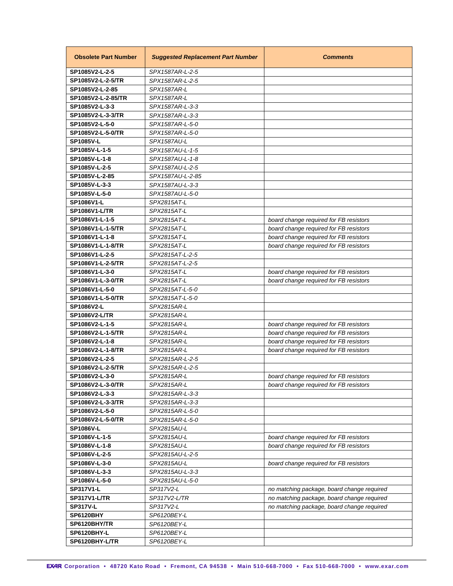| <b>Obsolete Part Number</b>    | <b>Suggested Replacement Part Number</b> | <b>Comments</b>                            |
|--------------------------------|------------------------------------------|--------------------------------------------|
| SP1085V2-L-2-5                 | SPX1587AR-L-2-5                          |                                            |
| SP1085V2-L-2-5/TR              | SPX1587AR-L-2-5                          |                                            |
| SP1085V2-L-2-85                | SPX1587AR-L                              |                                            |
| SP1085V2-L-2-85/TR             | SPX1587AR-L                              |                                            |
| SP1085V2-L-3-3                 | SPX1587AR-L-3-3                          |                                            |
| SP1085V2-L-3-3/TR              | SPX1587AR-L-3-3                          |                                            |
| SP1085V2-L-5-0                 | SPX1587AR-L-5-0                          |                                            |
| SP1085V2-L-5-0/TR              | SPX1587AR-L-5-0                          |                                            |
| <b>SP1085V-L</b>               | SPX1587AU-L                              |                                            |
| SP1085V-L-1-5                  | SPX1587AU-L-1-5                          |                                            |
| SP1085V-L-1-8                  | SPX1587AU-L-1-8                          |                                            |
| SP1085V-L-2-5                  | SPX1587AU-L-2-5                          |                                            |
| SP1085V-L-2-85                 | SPX1587AU-L-2-85                         |                                            |
| SP1085V-L-3-3                  | SPX1587AU-L-3-3                          |                                            |
| SP1085V-L-5-0                  | SPX1587AU-L-5-0                          |                                            |
| SP1086V1-L                     | SPX2815AT-L                              |                                            |
| <b>SP1086V1-L/TR</b>           | SPX2815AT-L                              |                                            |
| SP1086V1-L-1-5                 | SPX2815AT-L                              | board change required for FB resistors     |
| SP1086V1-L-1-5/TR              | SPX2815AT-L                              | board change required for FB resistors     |
| SP1086V1-L-1-8                 | SPX2815AT-L                              | board change required for FB resistors     |
| SP1086V1-L-1-8/TR              | SPX2815AT-L                              | board change required for FB resistors     |
| SP1086V1-L-2-5                 | SPX2815AT-L-2-5                          |                                            |
| SP1086V1-L-2-5/TR              | SPX2815AT-L-2-5                          |                                            |
| SP1086V1-L-3-0                 | SPX2815AT-L                              | board change required for FB resistors     |
| SP1086V1-L-3-0/TR              | SPX2815AT-L                              | board change required for FB resistors     |
| SP1086V1-L-5-0                 | SPX2815AT-L-5-0                          |                                            |
| SP1086V1-L-5-0/TR              | SPX2815AT-L-5-0                          |                                            |
| SP1086V2-L                     | SPX2815AR-L                              |                                            |
| <b>SP1086V2-L/TR</b>           | SPX2815AR-L                              |                                            |
| SP1086V2-L-1-5                 | SPX2815AR-L                              | board change required for FB resistors     |
| SP1086V2-L-1-5/TR              | SPX2815AR-L                              | board change required for FB resistors     |
| SP1086V2-L-1-8                 | SPX2815AR-L                              | board change required for FB resistors     |
| SP1086V2-L-1-8/TR              | SPX2815AR-L                              | board change required for FB resistors     |
| SP1086V2-L-2-5                 | SPX2815AR-L-2-5                          |                                            |
| SP1086V2-L-2-5/TR              | SPX2815AR-L-2-5                          |                                            |
| SP1086V2-L-3-0                 | SPX2815AR-L                              | board change required for FB resistors     |
| SP1086V2-L-3-0/TR              | SPX2815AR-L                              | board change required for FB resistors     |
| SP1086V2-L-3-3                 | SPX2815AR-L-3-3                          |                                            |
| SP1086V2-L-3-3/TR              | SPX2815AR-L-3-3                          |                                            |
| SP1086V2-L-5-0                 | SPX2815AR-L-5-0                          |                                            |
| SP1086V2-L-5-0/TR              | SPX2815AR-L-5-0                          |                                            |
| SP1086V-L                      | SPX2815AU-L                              |                                            |
| SP1086V-L-1-5                  | SPX2815AU-L                              | board change required for FB resistors     |
| SP1086V-L-1-8                  | SPX2815AU-L<br>SPX2815AU-L-2-5           | board change required for FB resistors     |
| SP1086V-L-2-5<br>SP1086V-L-3-0 |                                          |                                            |
| SP1086V-L-3-3                  | SPX2815AU-L<br>SPX2815AU-L-3-3           | board change required for FB resistors     |
| SP1086V-L-5-0                  | SPX2815AU-L-5-0                          |                                            |
| SP317V1-L                      | SP317V2-L                                |                                            |
| <b>SP317V1-L/TR</b>            | SP317V2-L/TR                             | no matching package, board change required |
| <b>SP317V-L</b>                | SP317V2-L                                | no matching package, board change required |
| <b>SP6120BHY</b>               | SP6120BEY-L                              | no matching package, board change required |
| SP6120BHY/TR                   | SP6120BEY-L                              |                                            |
| SP6120BHY-L                    | SP6120BEY-L                              |                                            |
|                                |                                          |                                            |
| SP6120BHY-L/TR                 | SP6120BEY-L                              |                                            |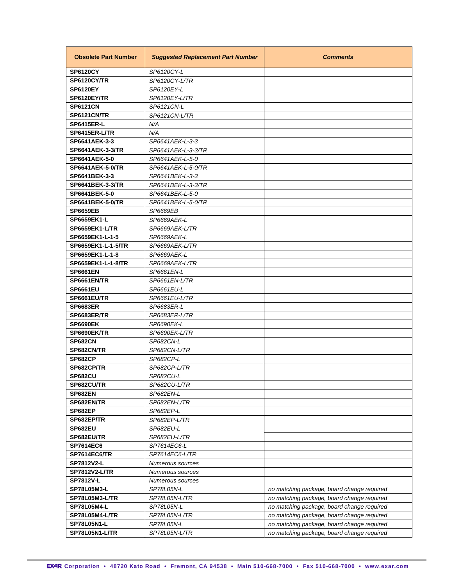| <b>Obsolete Part Number</b> | <b>Suggested Replacement Part Number</b> | <b>Comments</b>                            |
|-----------------------------|------------------------------------------|--------------------------------------------|
| <b>SP6120CY</b>             | SP6120CY-L                               |                                            |
| SP6120CY/TR                 | SP6120CY-L/TR                            |                                            |
| <b>SP6120EY</b>             | SP6120EY-L                               |                                            |
| SP6120EY/TR                 | SP6120EY-L/TR                            |                                            |
| <b>SP6121CN</b>             | SP6121CN-L                               |                                            |
| SP6121CN/TR                 | SP6121CN-L/TR                            |                                            |
| <b>SP6415ER-L</b>           | N/A                                      |                                            |
| SP6415ER-L/TR               | N/A                                      |                                            |
| SP6641AEK-3-3               | SP6641AEK-L-3-3                          |                                            |
| <b>SP6641AEK-3-3/TR</b>     | SP6641AEK-L-3-3/TR                       |                                            |
| SP6641AEK-5-0               | SP6641AEK-L-5-0                          |                                            |
| <b>SP6641AEK-5-0/TR</b>     | SP6641AEK-L-5-0/TR                       |                                            |
| SP6641BEK-3-3               | SP6641BEK-L-3-3                          |                                            |
| <b>SP6641BEK-3-3/TR</b>     | SP6641BEK-L-3-3/TR                       |                                            |
| SP6641BEK-5-0               | SP6641BEK-L-5-0                          |                                            |
| <b>SP6641BEK-5-0/TR</b>     | SP6641BEK-L-5-0/TR                       |                                            |
| <b>SP6659EB</b>             | SP6669EB                                 |                                            |
| <b>SP6659EK1-L</b>          | SP6669AEK-L                              |                                            |
| SP6659EK1-L/TR              | SP6669AEK-L/TR                           |                                            |
| SP6659EK1-L-1-5             | SP6669AEK-L                              |                                            |
| SP6659EK1-L-1-5/TR          | SP6669AEK-L/TR                           |                                            |
| SP6659EK1-L-1-8             | SP6669AEK-L                              |                                            |
| SP6659EK1-L-1-8/TR          | SP6669AEK-L/TR                           |                                            |
| <b>SP6661EN</b>             | SP6661EN-L                               |                                            |
| SP6661EN/TR                 | SP6661EN-L/TR                            |                                            |
| <b>SP6661EU</b>             | SP6661EU-L                               |                                            |
| SP6661EU/TR                 | SP6661EU-L/TR                            |                                            |
| <b>SP6683ER</b>             | SP6683ER-L                               |                                            |
| SP6683ER/TR                 | SP6683ER-L/TR                            |                                            |
| <b>SP6690EK</b>             | SP6690EK-L                               |                                            |
| SP6690EK/TR                 | SP6690EK-L/TR                            |                                            |
| <b>SP682CN</b>              | SP682CN-L                                |                                            |
| SP682CN/TR                  | SP682CN-L/TR                             |                                            |
| <b>SP682CP</b>              | SP682CP-L                                |                                            |
| SP682CP/TR                  | SP682CP-L/TR                             |                                            |
| <b>SP682CU</b>              | SP682CU-L                                |                                            |
| SP682CU/TR                  | SP682CU-L/TR                             |                                            |
| <b>SP682EN</b>              | SP682EN-L                                |                                            |
| SP682EN/TR                  | SP682EN-L/TR                             |                                            |
| <b>SP682EP</b>              | SP682EP-L                                |                                            |
| SP682EP/TR                  | SP682EP-L/TR                             |                                            |
| <b>SP682EU</b>              | SP682EU-L                                |                                            |
| SP682EU/TR                  | SP682EU-L/TR                             |                                            |
| SP7614EC6                   | SP7614EC6-L                              |                                            |
| <b>SP7614EC6/TR</b>         | SP7614EC6-L/TR                           |                                            |
| SP7812V2-L                  | Numerous sources                         |                                            |
| SP7812V2-L/TR               | Numerous sources                         |                                            |
| <b>SP7812V-L</b>            | Numerous sources                         |                                            |
| SP78L05M3-L                 | SP78L05N-L                               | no matching package, board change required |
| SP78L05M3-L/TR              | SP78L05N-L/TR                            | no matching package, board change required |
| SP78L05M4-L                 |                                          |                                            |
| SP78L05M4-L/TR              | SP78L05N-L<br>SP78L05N-L/TR              | no matching package, board change required |
| SP78L05N1-L                 |                                          | no matching package, board change required |
|                             | SP78L05N-L                               | no matching package, board change required |
| SP78L05N1-L/TR              | SP78L05N-L/TR                            | no matching package, board change required |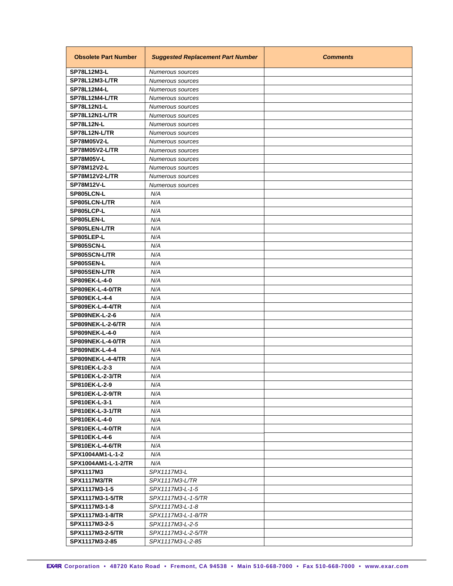| <b>Obsolete Part Number</b> | <b>Suggested Replacement Part Number</b> | <b>Comments</b> |
|-----------------------------|------------------------------------------|-----------------|
| <b>SP78L12M3-L</b>          | Numerous sources                         |                 |
| <b>SP78L12M3-L/TR</b>       | Numerous sources                         |                 |
| <b>SP78L12M4-L</b>          | Numerous sources                         |                 |
| SP78L12M4-L/TR              | Numerous sources                         |                 |
| <b>SP78L12N1-L</b>          | Numerous sources                         |                 |
| SP78L12N1-L/TR              | Numerous sources                         |                 |
| <b>SP78L12N-L</b>           | Numerous sources                         |                 |
| SP78L12N-L/TR               | Numerous sources                         |                 |
| <b>SP78M05V2-L</b>          | Numerous sources                         |                 |
| <b>SP78M05V2-L/TR</b>       | Numerous sources                         |                 |
| <b>SP78M05V-L</b>           | Numerous sources                         |                 |
| SP78M12V2-L                 | Numerous sources                         |                 |
| <b>SP78M12V2-L/TR</b>       | Numerous sources                         |                 |
| <b>SP78M12V-L</b>           | Numerous sources                         |                 |
| SP805LCN-L                  | N/A                                      |                 |
| SP805LCN-L/TR               | N/A                                      |                 |
| SP805LCP-L                  | N/A                                      |                 |
| SP805LEN-L                  | N/A                                      |                 |
| SP805LEN-L/TR               | N/A                                      |                 |
| SP805LEP-L                  | N/A                                      |                 |
| SP805SCN-L                  | N/A                                      |                 |
| SP805SCN-L/TR               | N/A                                      |                 |
| SP805SEN-L                  | N/A                                      |                 |
| SP805SEN-L/TR               | N/A                                      |                 |
| SP809EK-L-4-0               | N/A                                      |                 |
| <b>SP809EK-L-4-0/TR</b>     | N/A                                      |                 |
| SP809EK-L-4-4               | N/A                                      |                 |
| <b>SP809EK-L-4-4/TR</b>     | N/A                                      |                 |
| <b>SP809NEK-L-2-6</b>       | N/A                                      |                 |
| <b>SP809NEK-L-2-6/TR</b>    | N/A                                      |                 |
| <b>SP809NEK-L-4-0</b>       | N/A                                      |                 |
| <b>SP809NEK-L-4-0/TR</b>    | N/A                                      |                 |
| <b>SP809NEK-L-4-4</b>       | N/A                                      |                 |
| <b>SP809NEK-L-4-4/TR</b>    | N/A                                      |                 |
| SP810EK-L-2-3               | N/A                                      |                 |
| <b>SP810EK-L-2-3/TR</b>     | N/A                                      |                 |
| SP810EK-L-2-9               | N/A                                      |                 |
| <b>SP810EK-L-2-9/TR</b>     | N/A                                      |                 |
| SP810EK-L-3-1               | N/A                                      |                 |
| <b>SP810EK-L-3-1/TR</b>     | N/A                                      |                 |
| SP810EK-L-4-0               | N/A                                      |                 |
| <b>SP810EK-L-4-0/TR</b>     | N/A                                      |                 |
| SP810EK-L-4-6               | N/A                                      |                 |
| <b>SP810EK-L-4-6/TR</b>     | N/A                                      |                 |
| SPX1004AM1-L-1-2            | N/A                                      |                 |
| SPX1004AM1-L-1-2/TR         | N/A                                      |                 |
| <b>SPX1117M3</b>            | SPX1117M3-L                              |                 |
| <b>SPX1117M3/TR</b>         | SPX1117M3-L/TR                           |                 |
| SPX1117M3-1-5               | SPX1117M3-L-1-5                          |                 |
| <b>SPX1117M3-1-5/TR</b>     | SPX1117M3-L-1-5/TR                       |                 |
| SPX1117M3-1-8               | SPX1117M3-L-1-8                          |                 |
| <b>SPX1117M3-1-8/TR</b>     | SPX1117M3-L-1-8/TR                       |                 |
| SPX1117M3-2-5               | SPX1117M3-L-2-5                          |                 |
| <b>SPX1117M3-2-5/TR</b>     | SPX1117M3-L-2-5/TR                       |                 |
| SPX1117M3-2-85              | SPX1117M3-L-2-85                         |                 |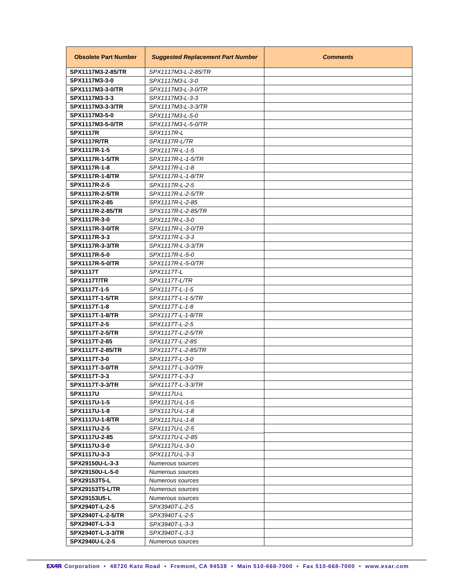| <b>Obsolete Part Number</b> | <b>Suggested Replacement Part Number</b> | <b>Comments</b> |
|-----------------------------|------------------------------------------|-----------------|
| SPX1117M3-2-85/TR           | SPX1117M3-L-2-85/TR                      |                 |
| SPX1117M3-3-0               | SPX1117M3-L-3-0                          |                 |
| SPX1117M3-3-0/TR            | SPX1117M3-L-3-0/TR                       |                 |
| SPX1117M3-3-3               | SPX1117M3-L-3-3                          |                 |
| <b>SPX1117M3-3-3/TR</b>     | SPX1117M3-L-3-3/TR                       |                 |
| SPX1117M3-5-0               | SPX1117M3-L-5-0                          |                 |
| <b>SPX1117M3-5-0/TR</b>     | SPX1117M3-L-5-0/TR                       |                 |
| <b>SPX1117R</b>             | SPX1117R-L                               |                 |
| SPX1117R/TR                 | SPX1117R-L/TR                            |                 |
| SPX1117R-1-5                | SPX1117R-L-1-5                           |                 |
| <b>SPX1117R-1-5/TR</b>      | SPX1117R-L-1-5/TR                        |                 |
| SPX1117R-1-8                | SPX1117R-L-1-8                           |                 |
| <b>SPX1117R-1-8/TR</b>      | SPX1117R-L-1-8/TR                        |                 |
| SPX1117R-2-5                | SPX1117R-L-2-5                           |                 |
| <b>SPX1117R-2-5/TR</b>      | SPX1117R-L-2-5/TR                        |                 |
| SPX1117R-2-85               | SPX1117R-L-2-85                          |                 |
| SPX1117R-2-85/TR            | SPX1117R-L-2-85/TR                       |                 |
| SPX1117R-3-0                | SPX1117R-L-3-0                           |                 |
| <b>SPX1117R-3-0/TR</b>      | SPX1117R-L-3-0/TR                        |                 |
| SPX1117R-3-3                | SPX1117R-L-3-3                           |                 |
| <b>SPX1117R-3-3/TR</b>      | SPX1117R-L-3-3/TR                        |                 |
| SPX1117R-5-0                | SPX1117R-L-5-0                           |                 |
| <b>SPX1117R-5-0/TR</b>      | SPX1117R-L-5-0/TR                        |                 |
| <b>SPX1117T</b>             | SPX1117T-L                               |                 |
| <b>SPX1117T/TR</b>          | SPX1117T-L/TR                            |                 |
| SPX1117T-1-5                | SPX1117T-L-1-5                           |                 |
| <b>SPX1117T-1-5/TR</b>      | SPX1117T-L-1-5/TR                        |                 |
| SPX1117T-1-8                | SPX1117T-L-1-8                           |                 |
| <b>SPX1117T-1-8/TR</b>      | SPX1117T-L-1-8/TR                        |                 |
| SPX1117T-2-5                | SPX1117T-L-2-5                           |                 |
| <b>SPX1117T-2-5/TR</b>      | SPX1117T-L-2-5/TR                        |                 |
| SPX1117T-2-85               | SPX1117T-L-2-85                          |                 |
| SPX1117T-2-85/TR            | SPX1117T-L-2-85/TR                       |                 |
| SPX1117T-3-0                | SPX1117T-L-3-0                           |                 |
| <b>SPX1117T-3-0/TR</b>      | SPX1117T-L-3-0/TR                        |                 |
| SPX1117T-3-3                | SPX1117T-L-3-3                           |                 |
| <b>SPX1117T-3-3/TR</b>      | SPX1117T-L-3-3/TR                        |                 |
| <b>SPX1117U</b>             | SPX1117U-L                               |                 |
| SPX1117U-1-5                | SPX1117U-L-1-5                           |                 |
| SPX1117U-1-8                | SPX1117U-L-1-8                           |                 |
| <b>SPX1117U-1-8/TR</b>      | SPX1117U-L-1-8                           |                 |
| SPX1117U-2-5                | SPX1117U-L-2-5                           |                 |
| SPX1117U-2-85               | SPX1117U-L-2-85                          |                 |
| SPX1117U-3-0                | SPX1117U-L-3-0                           |                 |
| SPX1117U-3-3                | SPX1117U-L-3-3                           |                 |
| SPX29150U-L-3-3             | Numerous sources                         |                 |
| SPX29150U-L-5-0             | Numerous sources                         |                 |
| SPX29153T5-L                | Numerous sources                         |                 |
| <b>SPX29153T5-L/TR</b>      | Numerous sources                         |                 |
| SPX29153U5-L                | Numerous sources                         |                 |
| SPX2940T-L-2-5              | SPX3940T-L-2-5                           |                 |
| <b>SPX2940T-L-2-5/TR</b>    | SPX3940T-L-2-5                           |                 |
| SPX2940T-L-3-3              | SPX3940T-L-3-3                           |                 |
| <b>SPX2940T-L-3-3/TR</b>    | SPX3940T-L-3-3                           |                 |
| SPX2940U-L-2-5              | Numerous sources                         |                 |